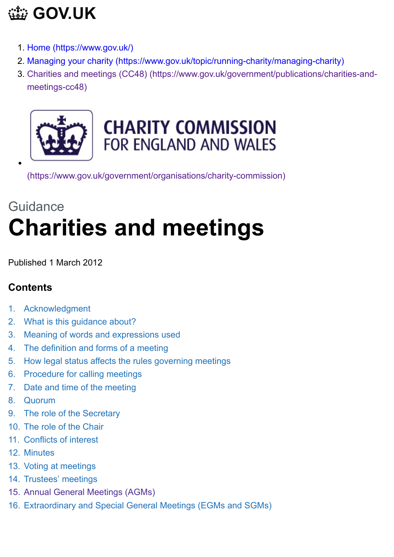# **[GOV.UK](https://www.gov.uk/)**

- 1. [Home \(https://www.gov.uk/\)](https://www.gov.uk/)
- 2. [Managing your charity \(https://www.gov.uk/topic/running-charity/managing-charity\)](https://www.gov.uk/topic/running-charity/managing-charity)
- 3. [Charities and meetings \(CC48\) \(https://www.gov.uk/government/publications/charities-and](https://www.gov.uk/government/publications/charities-and-meetings-cc48)meetings-cc48)



## **CHARITY COMMISSION** FOR ENGLAND AND WALES

[\(https://www.gov.uk/government/organisations/charity-commission\)](https://www.gov.uk/government/organisations/charity-commission)

# Guidance **Charities and meetings**

Published 1 March 2012

## **Contents**

- 1. Acknowledgment
- 2. What is this guidance about?
- 3. Meaning of words and expressions used
- 4. The definition and forms of a meeting
- 5. How legal status affects the rules governing meetings
- 6. Procedure for calling meetings
- 7. Date and time of the meeting
- 8. Quorum
- 9. The role of the Secretary
- 10. The role of the Chair
- 11. Conflicts of interest
- 12. Minutes
- 13. Voting at meetings
- 14. Trustees' meetings
- 15. Annual General Meetings (AGMs)
- 16. Extraordinary and Special General Meetings (EGMs and SGMs)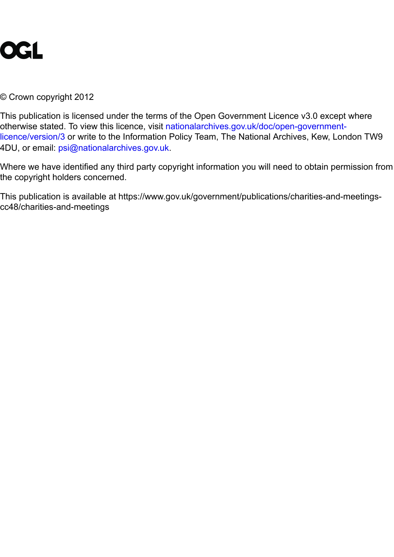

© Crown copyright 2012

This publication is licensed under the terms of the Open Government Licence v3.0 except where otherwise stated. To view this licence, visit nationalarchives.gov.uk/doc/open-government[licence/version/3 or write to the Information Policy Team, The National Archives, Kew, Lon](https://www.nationalarchives.gov.uk/doc/open-government-licence/version/3)don TW9 4DU, or email: [psi@nationalarchives.gov.uk](mailto:psi@nationalarchives.gov.uk).

Where we have identified any third party copyright information you will need to obtain permission from the copyright holders concerned.

This publication is available at https://www.gov.uk/government/publications/charities-and-meetingscc48/charities-and-meetings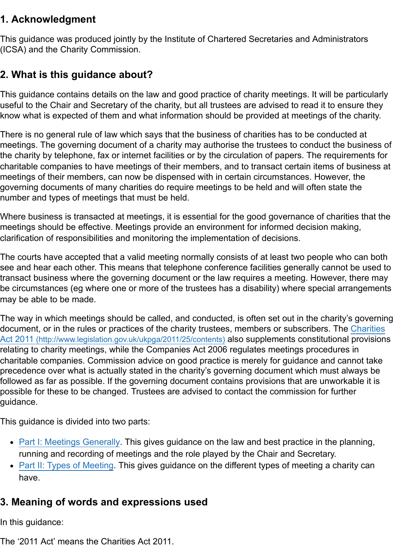## **1. Acknowledgment**

This guidance was produced jointly by the Institute of Chartered Secretaries and Administrators (ICSA) and the Charity Commission.

## **2. What is this guidance about?**

This guidance contains details on the law and good practice of charity meetings. It will be particularly useful to the Chair and Secretary of the charity, but all trustees are advised to read it to ensure they know what is expected of them and what information should be provided at meetings of the charity.

There is no general rule of law which says that the business of charities has to be conducted at meetings. The governing document of a charity may authorise the trustees to conduct the business of the charity by telephone, fax or internet facilities or by the circulation of papers. The requirements for charitable companies to have meetings of their members, and to transact certain items of business at meetings of their members, can now be dispensed with in certain circumstances. However, the governing documents of many charities do require meetings to be held and will often state the number and types of meetings that must be held.

Where business is transacted at meetings, it is essential for the good governance of charities that the meetings should be effective. Meetings provide an environment for informed decision making, clarification of responsibilities and monitoring the implementation of decisions.

The courts have accepted that a valid meeting normally consists of at least two people who can both see and hear each other. This means that telephone conference facilities generally cannot be used to transact business where the governing document or the law requires a meeting. However, there may be circumstances (eg where one or more of the trustees has a disability) where special arrangements may be able to be made.

The way in which meetings should be called, and conducted, is often set out in the charity's governing [document, or in the rules or practices of the charity trustees, members or subscribers. The Charities](http://www.legislation.gov.uk/ukpga/2011/25/contents) Act 2011 (http://www.legislation.gov.uk/ukpga/2011/25/contents) also supplements constitutional provisions relating to charity meetings, while the Companies Act 2006 regulates meetings procedures in charitable companies. Commission advice on good practice is merely for guidance and cannot take precedence over what is actually stated in the charity's governing document which must always be followed as far as possible. If the governing document contains provisions that are unworkable it is possible for these to be changed. Trustees are advised to contact the commission for further guidance.

This guidance is divided into two parts:

- [Part I: Meetings Generally.](#page-5-0) This gives guidance on the law and best practice in the planning, running and recording of meetings and the role played by the Chair and Secretary.
- [Part II: Types of Meeting.](#page-13-0) This gives guidance on the different types of meeting a charity can have.

## **3. Meaning of words and expressions used**

In this guidance:

The '2011 Act' means the Charities Act 2011.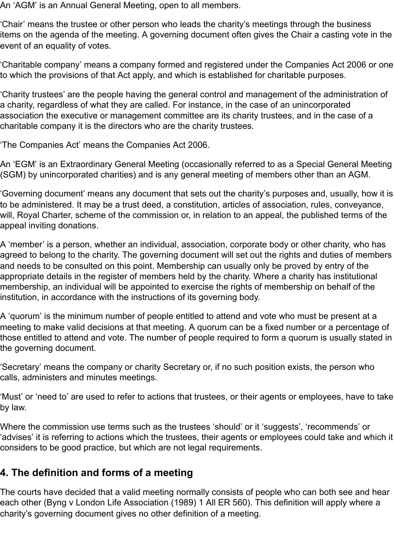An 'AGM' is an Annual General Meeting, open to all members.

'Chair' means the trustee or other person who leads the charity's meetings through the business items on the agenda of the meeting. A governing document often gives the Chair a casting vote in the event of an equality of votes.

'Charitable company' means a company formed and registered under the Companies Act 2006 or one to which the provisions of that Act apply, and which is established for charitable purposes.

'Charity trustees' are the people having the general control and management of the administration of a charity, regardless of what they are called. For instance, in the case of an unincorporated association the executive or management committee are its charity trustees, and in the case of a charitable company it is the directors who are the charity trustees.

'The Companies Act' means the Companies Act 2006.

An 'EGM' is an Extraordinary General Meeting (occasionally referred to as a Special General Meeting (SGM) by unincorporated charities) and is any general meeting of members other than an AGM.

'Governing document' means any document that sets out the charity's purposes and, usually, how it is to be administered. It may be a trust deed, a constitution, articles of association, rules, conveyance, will, Royal Charter, scheme of the commission or, in relation to an appeal, the published terms of the appeal inviting donations.

A 'member' is a person, whether an individual, association, corporate body or other charity, who has agreed to belong to the charity. The governing document will set out the rights and duties of members and needs to be consulted on this point. Membership can usually only be proved by entry of the appropriate details in the register of members held by the charity. Where a charity has institutional membership, an individual will be appointed to exercise the rights of membership on behalf of the institution, in accordance with the instructions of its governing body.

A 'quorum' is the minimum number of people entitled to attend and vote who must be present at a meeting to make valid decisions at that meeting. A quorum can be a fixed number or a percentage of those entitled to attend and vote. The number of people required to form a quorum is usually stated in the governing document.

'Secretary' means the company or charity Secretary or, if no such position exists, the person who calls, administers and minutes meetings.

'Must' or 'need to' are used to refer to actions that trustees, or their agents or employees, have to take by law.

Where the commission use terms such as the trustees 'should' or it 'suggests', 'recommends' or 'advises' it is referring to actions which the trustees, their agents or employees could take and which it considers to be good practice, but which are not legal requirements.

## **4. The definition and forms of a meeting**

The courts have decided that a valid meeting normally consists of people who can both see and hear each other (Byng v London Life Association (1989) 1 All ER 560). This definition will apply where a charity's governing document gives no other definition of a meeting.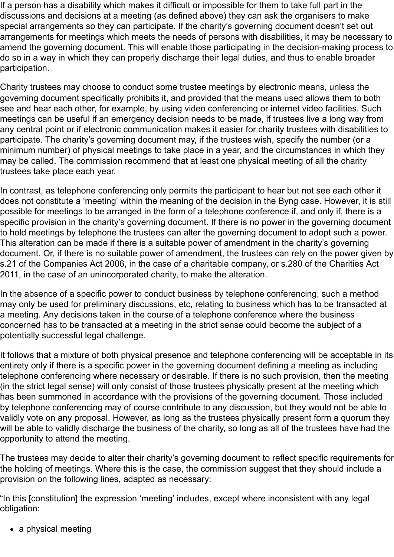If a person has a disability which makes it difficult or impossible for them to take full part in the discussions and decisions at a meeting (as defined above) they can ask the organisers to make special arrangements so they can participate. If the charity's governing document doesn't set out arrangements for meetings which meets the needs of persons with disabilities, it may be necessary to amend the governing document. This will enable those participating in the decision-making process to do so in a way in which they can properly discharge their legal duties, and thus to enable broader participation.

Charity trustees may choose to conduct some trustee meetings by electronic means, unless the governing document specifically prohibits it, and provided that the means used allows them to both see and hear each other, for example, by using video conferencing or internet video facilities. Such meetings can be useful if an emergency decision needs to be made, if trustees live a long way from any central point or if electronic communication makes it easier for charity trustees with disabilities to participate. The charity's governing document may, if the trustees wish, specify the number (or a minimum number) of physical meetings to take place in a year, and the circumstances in which they may be called. The commission recommend that at least one physical meeting of all the charity trustees take place each year.

In contrast, as telephone conferencing only permits the participant to hear but not see each other it does not constitute a 'meeting' within the meaning of the decision in the Byng case. However, it is still possible for meetings to be arranged in the form of a telephone conference if, and only if, there is a specific provision in the charity's governing document. If there is no power in the governing document to hold meetings by telephone the trustees can alter the governing document to adopt such a power. This alteration can be made if there is a suitable power of amendment in the charity's governing document. Or, if there is no suitable power of amendment, the trustees can rely on the power given by s.21 of the Companies Act 2006, in the case of a charitable company, or s.280 of the Charities Act 2011, in the case of an unincorporated charity, to make the alteration.

In the absence of a specific power to conduct business by telephone conferencing, such a method may only be used for preliminary discussions, etc, relating to business which has to be transacted at a meeting. Any decisions taken in the course of a telephone conference where the business concerned has to be transacted at a meeting in the strict sense could become the subject of a potentially successful legal challenge.

It follows that a mixture of both physical presence and telephone conferencing will be acceptable in its entirety only if there is a specific power in the governing document defining a meeting as including telephone conferencing where necessary or desirable. If there is no such provision, then the meeting (in the strict legal sense) will only consist of those trustees physically present at the meeting which has been summoned in accordance with the provisions of the governing document. Those included by telephone conferencing may of course contribute to any discussion, but they would not be able to validly vote on any proposal. However, as long as the trustees physically present form a quorum they will be able to validly discharge the business of the charity, so long as all of the trustees have had the opportunity to attend the meeting.

The trustees may decide to alter their charity's governing document to reflect specific requirements for the holding of meetings. Where this is the case, the commission suggest that they should include a provision on the following lines, adapted as necessary:

"In this [constitution] the expression 'meeting' includes, except where inconsistent with any legal obligation:

• a physical meeting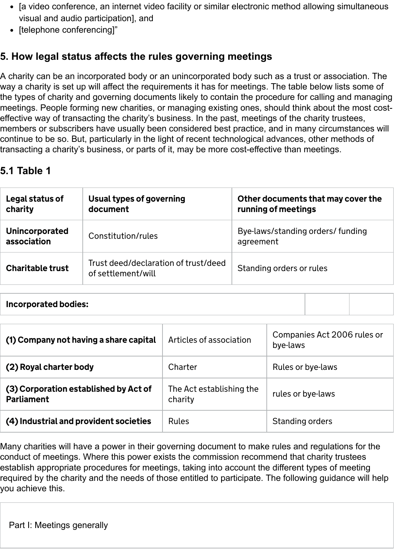- [a video conference, an internet video facility or similar electronic method allowing simultaneous visual and audio participation], and
- [telephone conferencing]"

## **5. How legal status affects the rules governing meetings**

A charity can be an incorporated body or an unincorporated body such as a trust or association. The way a charity is set up will affect the requirements it has for meetings. The table below lists some of the types of charity and governing documents likely to contain the procedure for calling and managing meetings. People forming new charities, or managing existing ones, should think about the most costeffective way of transacting the charity's business. In the past, meetings of the charity trustees, members or subscribers have usually been considered best practice, and in many circumstances will continue to be so. But, particularly in the light of recent technological advances, other methods of transacting a charity's business, or parts of it, may be more cost-effective than meetings.

## **5.1 Table 1**

| Legal status of<br>charity    | Usual types of governing<br>document                       | Other documents that may cover the<br>running of meetings |
|-------------------------------|------------------------------------------------------------|-----------------------------------------------------------|
| Unincorporated<br>association | Constitution/rules                                         | Bye-laws/standing orders/ funding<br>agreement            |
| <b>Charitable trust</b>       | Trust deed/declaration of trust/deed<br>of settlement/will | Standing orders or rules                                  |

Incorporated bodies:

| (1) Company not having a share capital                     | Articles of association             | Companies Act 2006 rules or<br>bye-laws |
|------------------------------------------------------------|-------------------------------------|-----------------------------------------|
| (2) Royal charter body                                     | Charter                             | Rules or bye-laws                       |
| (3) Corporation established by Act of<br><b>Parliament</b> | The Act establishing the<br>charity | rules or bye-laws                       |
| (4) Industrial and provident societies                     | <b>Rules</b>                        | Standing orders                         |

<span id="page-5-0"></span>Many charities will have a power in their governing document to make rules and regulations for the conduct of meetings. Where this power exists the commission recommend that charity trustees establish appropriate procedures for meetings, taking into account the different types of meeting required by the charity and the needs of those entitled to participate. The following guidance will help you achieve this.

Part I: Meetings generally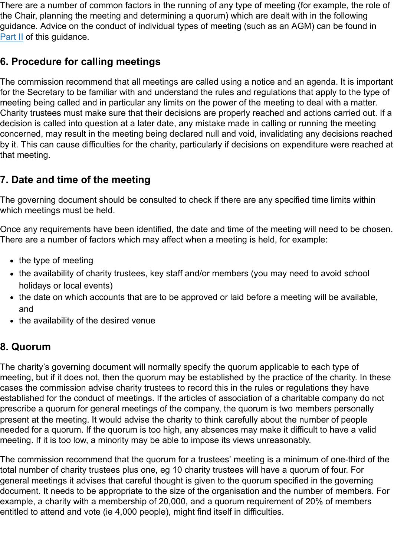There are a number of common factors in the running of any type of meeting (for example, the role of the Chair, planning the meeting and determining a quorum) which are dealt with in the following guidance. Advice on the conduct of individual types of meeting (such as an AGM) can be found in [Part II](#page-13-0) of this quidance.

## **6. Procedure for calling meetings**

The commission recommend that all meetings are called using a notice and an agenda. It is important for the Secretary to be familiar with and understand the rules and regulations that apply to the type of meeting being called and in particular any limits on the power of the meeting to deal with a matter. Charity trustees must make sure that their decisions are properly reached and actions carried out. If a decision is called into question at a later date, any mistake made in calling or running the meeting concerned, may result in the meeting being declared null and void, invalidating any decisions reached by it. This can cause difficulties for the charity, particularly if decisions on expenditure were reached at that meeting.

## **7. Date and time of the meeting**

The governing document should be consulted to check if there are any specified time limits within which meetings must be held.

Once any requirements have been identified, the date and time of the meeting will need to be chosen. There are a number of factors which may affect when a meeting is held, for example:

- $\bullet$  the type of meeting
- the availability of charity trustees, key staff and/or members (you may need to avoid school holidays or local events)
- the date on which accounts that are to be approved or laid before a meeting will be available, and
- the availability of the desired venue

### **8. Quorum**

The charity's governing document will normally specify the quorum applicable to each type of meeting, but if it does not, then the quorum may be established by the practice of the charity. In these cases the commission advise charity trustees to record this in the rules or regulations they have established for the conduct of meetings. If the articles of association of a charitable company do not prescribe a quorum for general meetings of the company, the quorum is two members personally present at the meeting. It would advise the charity to think carefully about the number of people needed for a quorum. If the quorum is too high, any absences may make it difficult to have a valid meeting. If it is too low, a minority may be able to impose its views unreasonably.

The commission recommend that the quorum for a trustees' meeting is a minimum of one-third of the total number of charity trustees plus one, eg 10 charity trustees will have a quorum of four. For general meetings it advises that careful thought is given to the quorum specified in the governing document. It needs to be appropriate to the size of the organisation and the number of members. For example, a charity with a membership of 20,000, and a quorum requirement of 20% of members entitled to attend and vote (ie 4,000 people), might find itself in difficulties.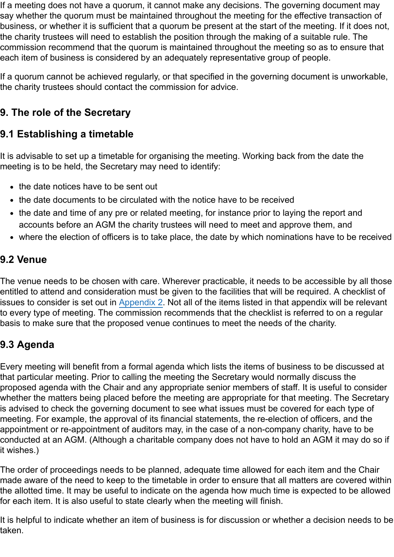If a meeting does not have a quorum, it cannot make any decisions. The governing document may say whether the quorum must be maintained throughout the meeting for the effective transaction of business, or whether it is sufficient that a quorum be present at the start of the meeting. If it does not, the charity trustees will need to establish the position through the making of a suitable rule. The commission recommend that the quorum is maintained throughout the meeting so as to ensure that each item of business is considered by an adequately representative group of people.

If a quorum cannot be achieved regularly, or that specified in the governing document is unworkable, the charity trustees should contact the commission for advice.

## **9. The role of the Secretary**

## **9.1 Establishing a timetable**

It is advisable to set up a timetable for organising the meeting. Working back from the date the meeting is to be held, the Secretary may need to identify:

- the date notices have to be sent out
- the date documents to be circulated with the notice have to be received
- the date and time of any pre or related meeting, for instance prior to laying the report and accounts before an AGM the charity trustees will need to meet and approve them, and
- where the election of officers is to take place, the date by which nominations have to be received

## **9.2 Venue**

The venue needs to be chosen with care. Wherever practicable, it needs to be accessible by all those entitled to attend and consideration must be given to the facilities that will be required. A checklist of issues to consider is set out in [Appendix 2.](#page-19-0) Not all of the items listed in that appendix will be relevant to every type of meeting. The commission recommends that the checklist is referred to on a regular basis to make sure that the proposed venue continues to meet the needs of the charity.

## **9.3 Agenda**

Every meeting will benefit from a formal agenda which lists the items of business to be discussed at that particular meeting. Prior to calling the meeting the Secretary would normally discuss the proposed agenda with the Chair and any appropriate senior members of staff. It is useful to consider whether the matters being placed before the meeting are appropriate for that meeting. The Secretary is advised to check the governing document to see what issues must be covered for each type of meeting. For example, the approval of its financial statements, the re-election of officers, and the appointment or re-appointment of auditors may, in the case of a non-company charity, have to be conducted at an AGM. (Although a charitable company does not have to hold an AGM it may do so if it wishes.)

The order of proceedings needs to be planned, adequate time allowed for each item and the Chair made aware of the need to keep to the timetable in order to ensure that all matters are covered within the allotted time. It may be useful to indicate on the agenda how much time is expected to be allowed for each item. It is also useful to state clearly when the meeting will finish.

It is helpful to indicate whether an item of business is for discussion or whether a decision needs to be taken.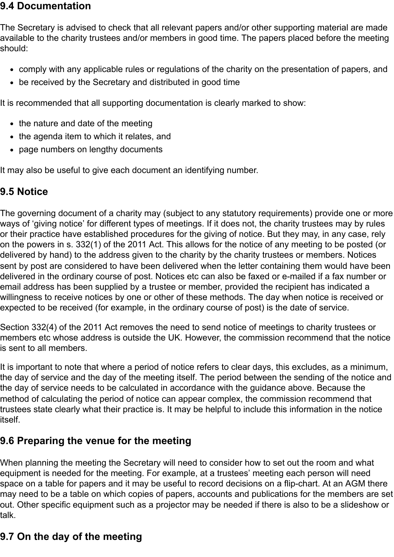#### **9.4 Documentation**

The Secretary is advised to check that all relevant papers and/or other supporting material are made available to the charity trustees and/or members in good time. The papers placed before the meeting should:

- comply with any applicable rules or regulations of the charity on the presentation of papers, and
- be received by the Secretary and distributed in good time

It is recommended that all supporting documentation is clearly marked to show:

- the nature and date of the meeting
- the agenda item to which it relates, and
- page numbers on lengthy documents

It may also be useful to give each document an identifying number.

## **9.5 Notice**

The governing document of a charity may (subject to any statutory requirements) provide one or more ways of 'giving notice' for different types of meetings. If it does not, the charity trustees may by rules or their practice have established procedures for the giving of notice. But they may, in any case, rely on the powers in s. 332(1) of the 2011 Act. This allows for the notice of any meeting to be posted (or delivered by hand) to the address given to the charity by the charity trustees or members. Notices sent by post are considered to have been delivered when the letter containing them would have been delivered in the ordinary course of post. Notices etc can also be faxed or e-mailed if a fax number or email address has been supplied by a trustee or member, provided the recipient has indicated a willingness to receive notices by one or other of these methods. The day when notice is received or expected to be received (for example, in the ordinary course of post) is the date of service.

Section 332(4) of the 2011 Act removes the need to send notice of meetings to charity trustees or members etc whose address is outside the UK. However, the commission recommend that the notice is sent to all members.

It is important to note that where a period of notice refers to clear days, this excludes, as a minimum, the day of service and the day of the meeting itself. The period between the sending of the notice and the day of service needs to be calculated in accordance with the guidance above. Because the method of calculating the period of notice can appear complex, the commission recommend that trustees state clearly what their practice is. It may be helpful to include this information in the notice itself.

## **9.6 Preparing the venue for the meeting**

When planning the meeting the Secretary will need to consider how to set out the room and what equipment is needed for the meeting. For example, at a trustees' meeting each person will need space on a table for papers and it may be useful to record decisions on a flip-chart. At an AGM there may need to be a table on which copies of papers, accounts and publications for the members are set out. Other specific equipment such as a projector may be needed if there is also to be a slideshow or talk.

## **9.7 On the day of the meeting**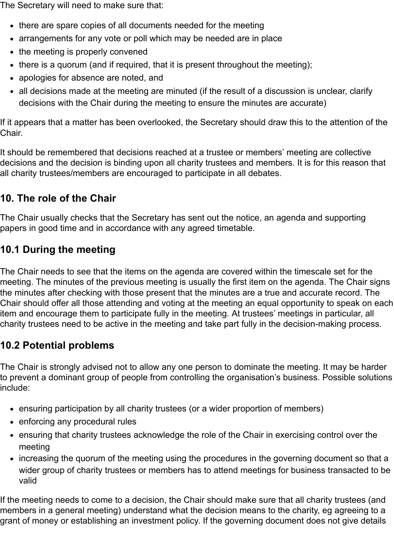The Secretary will need to make sure that:

- there are spare copies of all documents needed for the meeting
- arrangements for any vote or poll which may be needed are in place
- the meeting is properly convened
- there is a quorum (and if required, that it is present throughout the meeting);
- apologies for absence are noted, and
- all decisions made at the meeting are minuted (if the result of a discussion is unclear, clarify decisions with the Chair during the meeting to ensure the minutes are accurate)

If it appears that a matter has been overlooked, the Secretary should draw this to the attention of the Chair.

It should be remembered that decisions reached at a trustee or members' meeting are collective decisions and the decision is binding upon all charity trustees and members. It is for this reason that all charity trustees/members are encouraged to participate in all debates.

## **10. The role of the Chair**

The Chair usually checks that the Secretary has sent out the notice, an agenda and supporting papers in good time and in accordance with any agreed timetable.

## **10.1 During the meeting**

The Chair needs to see that the items on the agenda are covered within the timescale set for the meeting. The minutes of the previous meeting is usually the first item on the agenda. The Chair signs the minutes after checking with those present that the minutes are a true and accurate record. The Chair should offer all those attending and voting at the meeting an equal opportunity to speak on each item and encourage them to participate fully in the meeting. At trustees' meetings in particular, all charity trustees need to be active in the meeting and take part fully in the decision-making process.

## **10.2 Potential problems**

The Chair is strongly advised not to allow any one person to dominate the meeting. It may be harder to prevent a dominant group of people from controlling the organisation's business. Possible solutions include:

- ensuring participation by all charity trustees (or a wider proportion of members)
- enforcing any procedural rules
- ensuring that charity trustees acknowledge the role of the Chair in exercising control over the meeting
- increasing the quorum of the meeting using the procedures in the governing document so that a wider group of charity trustees or members has to attend meetings for business transacted to be valid

If the meeting needs to come to a decision, the Chair should make sure that all charity trustees (and members in a general meeting) understand what the decision means to the charity, eg agreeing to a grant of money or establishing an investment policy. If the governing document does not give details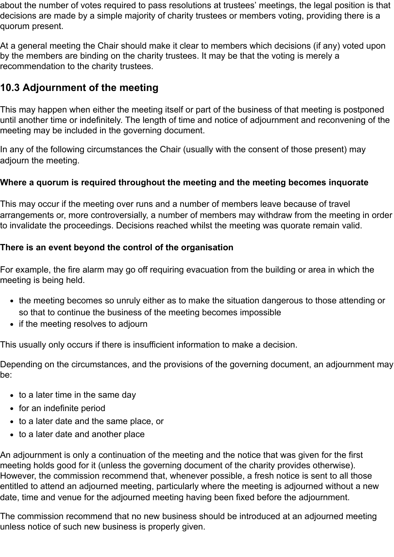about the number of votes required to pass resolutions at trustees' meetings, the legal position is that decisions are made by a simple majority of charity trustees or members voting, providing there is a quorum present.

At a general meeting the Chair should make it clear to members which decisions (if any) voted upon by the members are binding on the charity trustees. It may be that the voting is merely a recommendation to the charity trustees.

## **10.3 Adjournment of the meeting**

This may happen when either the meeting itself or part of the business of that meeting is postponed until another time or indefinitely. The length of time and notice of adjournment and reconvening of the meeting may be included in the governing document.

In any of the following circumstances the Chair (usually with the consent of those present) may adjourn the meeting.

#### **Where a quorum is required throughout the meeting and the meeting becomes inquorate**

This may occur if the meeting over runs and a number of members leave because of travel arrangements or, more controversially, a number of members may withdraw from the meeting in order to invalidate the proceedings. Decisions reached whilst the meeting was quorate remain valid.

#### **There is an event beyond the control of the organisation**

For example, the fire alarm may go off requiring evacuation from the building or area in which the meeting is being held.

- the meeting becomes so unruly either as to make the situation dangerous to those attending or so that to continue the business of the meeting becomes impossible
- if the meeting resolves to adjourn

This usually only occurs if there is insufficient information to make a decision.

Depending on the circumstances, and the provisions of the governing document, an adjournment may be:

- $\bullet$  to a later time in the same day
- for an indefinite period
- to a later date and the same place, or
- to a later date and another place

An adjournment is only a continuation of the meeting and the notice that was given for the first meeting holds good for it (unless the governing document of the charity provides otherwise). However, the commission recommend that, whenever possible, a fresh notice is sent to all those entitled to attend an adjourned meeting, particularly where the meeting is adjourned without a new date, time and venue for the adjourned meeting having been fixed before the adjournment.

The commission recommend that no new business should be introduced at an adjourned meeting unless notice of such new business is properly given.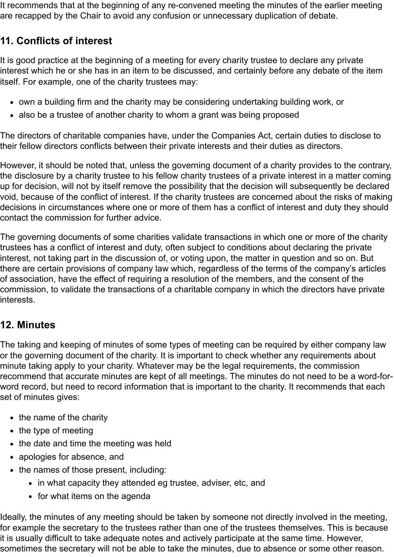It recommends that at the beginning of any re-convened meeting the minutes of the earlier meeting are recapped by the Chair to avoid any confusion or unnecessary duplication of debate.

## **11. Conflicts of interest**

It is good practice at the beginning of a meeting for every charity trustee to declare any private interest which he or she has in an item to be discussed, and certainly before any debate of the item itself. For example, one of the charity trustees may:

- own a building firm and the charity may be considering undertaking building work, or
- also be a trustee of another charity to whom a grant was being proposed

The directors of charitable companies have, under the Companies Act, certain duties to disclose to their fellow directors conflicts between their private interests and their duties as directors.

However, it should be noted that, unless the governing document of a charity provides to the contrary, the disclosure by a charity trustee to his fellow charity trustees of a private interest in a matter coming up for decision, will not by itself remove the possibility that the decision will subsequently be declared void, because of the conflict of interest. If the charity trustees are concerned about the risks of making decisions in circumstances where one or more of them has a conflict of interest and duty they should contact the commission for further advice.

The governing documents of some charities validate transactions in which one or more of the charity trustees has a conflict of interest and duty, often subject to conditions about declaring the private interest, not taking part in the discussion of, or voting upon, the matter in question and so on. But there are certain provisions of company law which, regardless of the terms of the company's articles of association, have the effect of requiring a resolution of the members, and the consent of the commission, to validate the transactions of a charitable company in which the directors have private interests.

## **12. Minutes**

The taking and keeping of minutes of some types of meeting can be required by either company law or the governing document of the charity. It is important to check whether any requirements about minute taking apply to your charity. Whatever may be the legal requirements, the commission recommend that accurate minutes are kept of all meetings. The minutes do not need to be a word-forword record, but need to record information that is important to the charity. It recommends that each set of minutes gives:

- $\bullet$  the name of the charity
- $\bullet$  the type of meeting
- the date and time the meeting was held
- apologies for absence, and
- the names of those present, including:
	- in what capacity they attended eg trustee, adviser, etc, and
	- for what items on the agenda

Ideally, the minutes of any meeting should be taken by someone not directly involved in the meeting, for example the secretary to the trustees rather than one of the trustees themselves. This is because it is usually difficult to take adequate notes and actively participate at the same time. However, sometimes the secretary will not be able to take the minutes, due to absence or some other reason.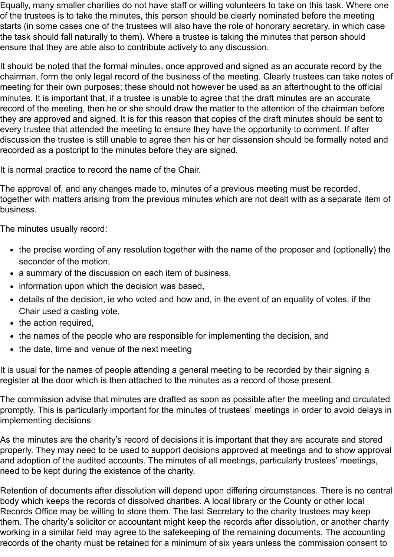Equally, many smaller charities do not have staff or willing volunteers to take on this task. Where one of the trustees is to take the minutes, this person should be clearly nominated before the meeting starts (in some cases one of the trustees will also have the role of honorary secretary, in which case the task should fall naturally to them). Where a trustee is taking the minutes that person should ensure that they are able also to contribute actively to any discussion.

It should be noted that the formal minutes, once approved and signed as an accurate record by the chairman, form the only legal record of the business of the meeting. Clearly trustees can take notes of meeting for their own purposes; these should not however be used as an afterthought to the official minutes. It is important that, if a trustee is unable to agree that the draft minutes are an accurate record of the meeting, then he or she should draw the matter to the attention of the chairman before they are approved and signed. It is for this reason that copies of the draft minutes should be sent to every trustee that attended the meeting to ensure they have the opportunity to comment. If after discussion the trustee is still unable to agree then his or her dissension should be formally noted and recorded as a postcript to the minutes before they are signed.

It is normal practice to record the name of the Chair.

The approval of, and any changes made to, minutes of a previous meeting must be recorded, together with matters arising from the previous minutes which are not dealt with as a separate item of business.

The minutes usually record:

- the precise wording of any resolution together with the name of the proposer and (optionally) the seconder of the motion,
- a summary of the discussion on each item of business,
- information upon which the decision was based,
- details of the decision, ie who voted and how and, in the event of an equality of votes, if the Chair used a casting vote,
- $\bullet$  the action required,
- the names of the people who are responsible for implementing the decision, and
- the date, time and venue of the next meeting

It is usual for the names of people attending a general meeting to be recorded by their signing a register at the door which is then attached to the minutes as a record of those present.

The commission advise that minutes are drafted as soon as possible after the meeting and circulated promptly. This is particularly important for the minutes of trustees' meetings in order to avoid delays in implementing decisions.

As the minutes are the charity's record of decisions it is important that they are accurate and stored properly. They may need to be used to support decisions approved at meetings and to show approval and adoption of the audited accounts. The minutes of all meetings, particularly trustees' meetings, need to be kept during the existence of the charity.

Retention of documents after dissolution will depend upon differing circumstances. There is no central body which keeps the records of dissolved charities. A local library or the County or other local Records Office may be willing to store them. The last Secretary to the charity trustees may keep them. The charity's solicitor or accountant might keep the records after dissolution, or another charity working in a similar field may agree to the safekeeping of the remaining documents. The accounting records of the charity must be retained for a minimum of six years unless the commission consent to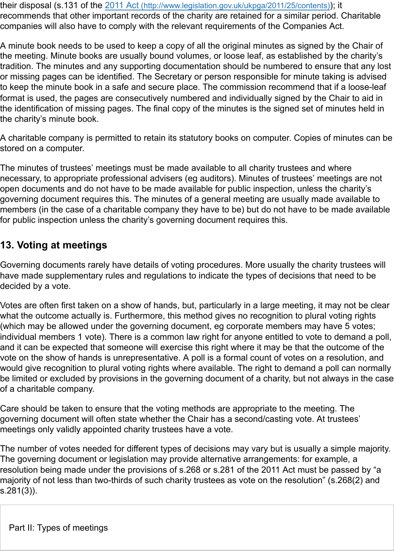their disposal (s.131 of the 2011 Act [\(http://www.legislation.gov.uk/ukpga/2011/25/contents\)](http://www.legislation.gov.uk/ukpga/2011/25/contents)); it recommends that other important records of the charity are retained for a similar period. Charitable companies will also have to comply with the relevant requirements of the Companies Act.

A minute book needs to be used to keep a copy of all the original minutes as signed by the Chair of the meeting. Minute books are usually bound volumes, or loose leaf, as established by the charity's tradition. The minutes and any supporting documentation should be numbered to ensure that any lost or missing pages can be identified. The Secretary or person responsible for minute taking is advised to keep the minute book in a safe and secure place. The commission recommend that if a loose-leaf format is used, the pages are consecutively numbered and individually signed by the Chair to aid in the identification of missing pages. The final copy of the minutes is the signed set of minutes held in the charity's minute book.

A charitable company is permitted to retain its statutory books on computer. Copies of minutes can be stored on a computer.

The minutes of trustees' meetings must be made available to all charity trustees and where necessary, to appropriate professional advisers (eg auditors). Minutes of trustees' meetings are not open documents and do not have to be made available for public inspection, unless the charity's governing document requires this. The minutes of a general meeting are usually made available to members (in the case of a charitable company they have to be) but do not have to be made available for public inspection unless the charity's governing document requires this.

## **13. Voting at meetings**

Governing documents rarely have details of voting procedures. More usually the charity trustees will have made supplementary rules and regulations to indicate the types of decisions that need to be decided by a vote.

Votes are often first taken on a show of hands, but, particularly in a large meeting, it may not be clear what the outcome actually is. Furthermore, this method gives no recognition to plural voting rights (which may be allowed under the governing document, eg corporate members may have 5 votes; individual members 1 vote). There is a common law right for anyone entitled to vote to demand a poll, and it can be expected that someone will exercise this right where it may be that the outcome of the vote on the show of hands is unrepresentative. A poll is a formal count of votes on a resolution, and would give recognition to plural voting rights where available. The right to demand a poll can normally be limited or excluded by provisions in the governing document of a charity, but not always in the case of a charitable company.

Care should be taken to ensure that the voting methods are appropriate to the meeting. The governing document will often state whether the Chair has a second/casting vote. At trustees' meetings only validly appointed charity trustees have a vote.

<span id="page-13-0"></span>The number of votes needed for different types of decisions may vary but is usually a simple majority. The governing document or legislation may provide alternative arrangements: for example, a resolution being made under the provisions of s.268 or s.281 of the 2011 Act must be passed by "a majority of not less than two-thirds of such charity trustees as vote on the resolution" (s.268(2) and s.281(3)).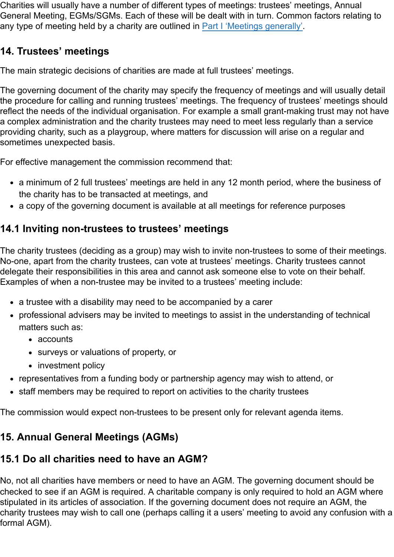Charities will usually have a number of different types of meetings: trustees' meetings, Annual General Meeting, EGMs/SGMs. Each of these will be dealt with in turn. Common factors relating to any type of meeting held by a charity are outlined in [Part I 'Meetings generally'](#page-5-0).

## **14. Trustees' meetings**

The main strategic decisions of charities are made at full trustees' meetings.

The governing document of the charity may specify the frequency of meetings and will usually detail the procedure for calling and running trustees' meetings. The frequency of trustees' meetings should reflect the needs of the individual organisation. For example a small grant-making trust may not have a complex administration and the charity trustees may need to meet less regularly than a service providing charity, such as a playgroup, where matters for discussion will arise on a regular and sometimes unexpected basis.

For effective management the commission recommend that:

- a minimum of 2 full trustees' meetings are held in any 12 month period, where the business of the charity has to be transacted at meetings, and
- a copy of the governing document is available at all meetings for reference purposes

## **14.1 Inviting non-trustees to trustees' meetings**

The charity trustees (deciding as a group) may wish to invite non-trustees to some of their meetings. No-one, apart from the charity trustees, can vote at trustees' meetings. Charity trustees cannot delegate their responsibilities in this area and cannot ask someone else to vote on their behalf. Examples of when a non-trustee may be invited to a trustees' meeting include:

- a trustee with a disability may need to be accompanied by a carer
- professional advisers may be invited to meetings to assist in the understanding of technical matters such as:
	- accounts
	- surveys or valuations of property, or
	- investment policy
- representatives from a funding body or partnership agency may wish to attend, or
- staff members may be required to report on activities to the charity trustees

The commission would expect non-trustees to be present only for relevant agenda items.

## **15. Annual General Meetings (AGMs)**

## **15.1 Do all charities need to have an AGM?**

No, not all charities have members or need to have an AGM. The governing document should be checked to see if an AGM is required. A charitable company is only required to hold an AGM where stipulated in its articles of association. If the governing document does not require an AGM, the charity trustees may wish to call one (perhaps calling it a users' meeting to avoid any confusion with a formal AGM).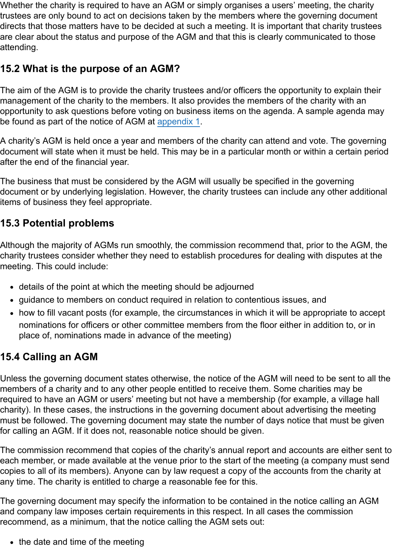Whether the charity is required to have an AGM or simply organises a users' meeting, the charity trustees are only bound to act on decisions taken by the members where the governing document directs that those matters have to be decided at such a meeting. It is important that charity trustees are clear about the status and purpose of the AGM and that this is clearly communicated to those attending.

## **15.2 What is the purpose of an AGM?**

The aim of the AGM is to provide the charity trustees and/or officers the opportunity to explain their management of the charity to the members. It also provides the members of the charity with an opportunity to ask questions before voting on business items on the agenda. A sample agenda may be found as part of the notice of AGM at [appendix 1](#page-18-0).

A charity's AGM is held once a year and members of the charity can attend and vote. The governing document will state when it must be held. This may be in a particular month or within a certain period after the end of the financial year.

The business that must be considered by the AGM will usually be specified in the governing document or by underlying legislation. However, the charity trustees can include any other additional items of business they feel appropriate.

## **15.3 Potential problems**

Although the majority of AGMs run smoothly, the commission recommend that, prior to the AGM, the charity trustees consider whether they need to establish procedures for dealing with disputes at the meeting. This could include:

- details of the point at which the meeting should be adjourned
- guidance to members on conduct required in relation to contentious issues, and
- how to fill vacant posts (for example, the circumstances in which it will be appropriate to accept nominations for officers or other committee members from the floor either in addition to, or in place of, nominations made in advance of the meeting)

## **15.4 Calling an AGM**

Unless the governing document states otherwise, the notice of the AGM will need to be sent to all the members of a charity and to any other people entitled to receive them. Some charities may be required to have an AGM or users' meeting but not have a membership (for example, a village hall charity). In these cases, the instructions in the governing document about advertising the meeting must be followed. The governing document may state the number of days notice that must be given for calling an AGM. If it does not, reasonable notice should be given.

The commission recommend that copies of the charity's annual report and accounts are either sent to each member, or made available at the venue prior to the start of the meeting (a company must send copies to all of its members). Anyone can by law request a copy of the accounts from the charity at any time. The charity is entitled to charge a reasonable fee for this.

The governing document may specify the information to be contained in the notice calling an AGM and company law imposes certain requirements in this respect. In all cases the commission recommend, as a minimum, that the notice calling the AGM sets out:

 $\bullet$  the date and time of the meeting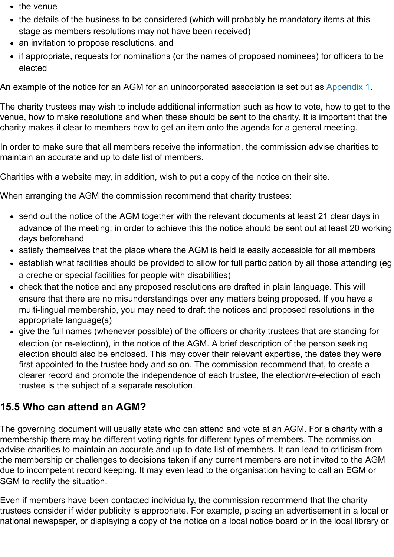- $\bullet$  the venue
- the details of the business to be considered (which will probably be mandatory items at this stage as members resolutions may not have been received)
- an invitation to propose resolutions, and
- if appropriate, requests for nominations (or the names of proposed nominees) for officers to be elected

An example of the notice for an AGM for an unincorporated association is set out as [Appendix 1.](#page-18-0)

The charity trustees may wish to include additional information such as how to vote, how to get to the venue, how to make resolutions and when these should be sent to the charity. It is important that the charity makes it clear to members how to get an item onto the agenda for a general meeting.

In order to make sure that all members receive the information, the commission advise charities to maintain an accurate and up to date list of members.

Charities with a website may, in addition, wish to put a copy of the notice on their site.

When arranging the AGM the commission recommend that charity trustees:

- send out the notice of the AGM together with the relevant documents at least 21 clear days in advance of the meeting; in order to achieve this the notice should be sent out at least 20 working days beforehand
- satisfy themselves that the place where the AGM is held is easily accessible for all members
- establish what facilities should be provided to allow for full participation by all those attending (eg a creche or special facilities for people with disabilities)
- check that the notice and any proposed resolutions are drafted in plain language. This will ensure that there are no misunderstandings over any matters being proposed. If you have a multi-lingual membership, you may need to draft the notices and proposed resolutions in the appropriate language(s)
- give the full names (whenever possible) of the officers or charity trustees that are standing for election (or re-election), in the notice of the AGM. A brief description of the person seeking election should also be enclosed. This may cover their relevant expertise, the dates they were first appointed to the trustee body and so on. The commission recommend that, to create a clearer record and promote the independence of each trustee, the election/re-election of each trustee is the subject of a separate resolution.

## **15.5 Who can attend an AGM?**

The governing document will usually state who can attend and vote at an AGM. For a charity with a membership there may be different voting rights for different types of members. The commission advise charities to maintain an accurate and up to date list of members. It can lead to criticism from the membership or challenges to decisions taken if any current members are not invited to the AGM due to incompetent record keeping. It may even lead to the organisation having to call an EGM or SGM to rectify the situation.

Even if members have been contacted individually, the commission recommend that the charity trustees consider if wider publicity is appropriate. For example, placing an advertisement in a local or national newspaper, or displaying a copy of the notice on a local notice board or in the local library or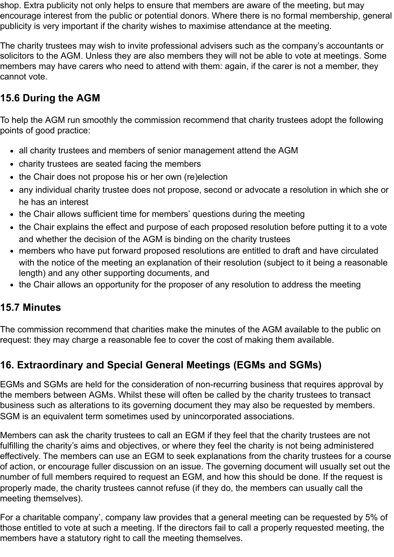shop. Extra publicity not only helps to ensure that members are aware of the meeting, but may encourage interest from the public or potential donors. Where there is no formal membership, general publicity is very important if the charity wishes to maximise attendance at the meeting.

The charity trustees may wish to invite professional advisers such as the company's accountants or solicitors to the AGM. Unless they are also members they will not be able to vote at meetings. Some members may have carers who need to attend with them: again, if the carer is not a member, they cannot vote.

## **15.6 During the AGM**

To help the AGM run smoothly the commission recommend that charity trustees adopt the following points of good practice:

- all charity trustees and members of senior management attend the AGM
- charity trustees are seated facing the members
- the Chair does not propose his or her own (re)election
- any individual charity trustee does not propose, second or advocate a resolution in which she or he has an interest
- the Chair allows sufficient time for members' questions during the meeting
- the Chair explains the effect and purpose of each proposed resolution before putting it to a vote and whether the decision of the AGM is binding on the charity trustees
- members who have put forward proposed resolutions are entitled to draft and have circulated with the notice of the meeting an explanation of their resolution (subject to it being a reasonable length) and any other supporting documents, and
- the Chair allows an opportunity for the proposer of any resolution to address the meeting

### **15.7 Minutes**

The commission recommend that charities make the minutes of the AGM available to the public on request: they may charge a reasonable fee to cover the cost of making them available.

## **16. Extraordinary and Special General Meetings (EGMs and SGMs)**

EGMs and SGMs are held for the consideration of non-recurring business that requires approval by the members between AGMs. Whilst these will often be called by the charity trustees to transact business such as alterations to its governing document they may also be requested by members. SGM is an equivalent term sometimes used by unincorporated associations.

Members can ask the charity trustees to call an EGM if they feel that the charity trustees are not fulfilling the charity's aims and objectives, or where they feel the charity is not being administered effectively. The members can use an EGM to seek explanations from the charity trustees for a course of action, or encourage fuller discussion on an issue. The governing document will usually set out the number of full members required to request an EGM, and how this should be done. If the request is properly made, the charity trustees cannot refuse (if they do, the members can usually call the meeting themselves).

For a charitable company', company law provides that a general meeting can be requested by 5% of those entitled to vote at such a meeting. If the directors fail to call a properly requested meeting, the members have a statutory right to call the meeting themselves.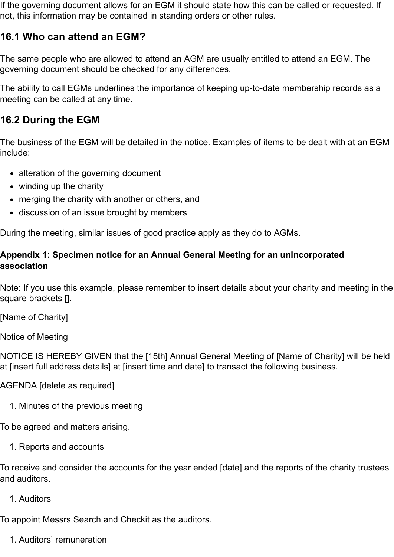If the governing document allows for an EGM it should state how this can be called or requested. If not, this information may be contained in standing orders or other rules.

## **16.1 Who can attend an EGM?**

The same people who are allowed to attend an AGM are usually entitled to attend an EGM. The governing document should be checked for any differences.

The ability to call EGMs underlines the importance of keeping up-to-date membership records as a meeting can be called at any time.

## **16.2 During the EGM**

The business of the EGM will be detailed in the notice. Examples of items to be dealt with at an EGM include:

- alteration of the governing document
- winding up the charity
- merging the charity with another or others, and
- discussion of an issue brought by members

<span id="page-18-0"></span>During the meeting, similar issues of good practice apply as they do to AGMs.

#### **Appendix 1: Specimen notice for an Annual General Meeting for an unincorporated association**

Note: If you use this example, please remember to insert details about your charity and meeting in the square brackets [].

[Name of Charity]

Notice of Meeting

NOTICE IS HEREBY GIVEN that the [15th] Annual General Meeting of [Name of Charity] will be held at [insert full address details] at [insert time and date] to transact the following business.

AGENDA [delete as required]

1. Minutes of the previous meeting

To be agreed and matters arising.

1. Reports and accounts

To receive and consider the accounts for the year ended [date] and the reports of the charity trustees and auditors.

1. Auditors

To appoint Messrs Search and Checkit as the auditors.

1. Auditors' remuneration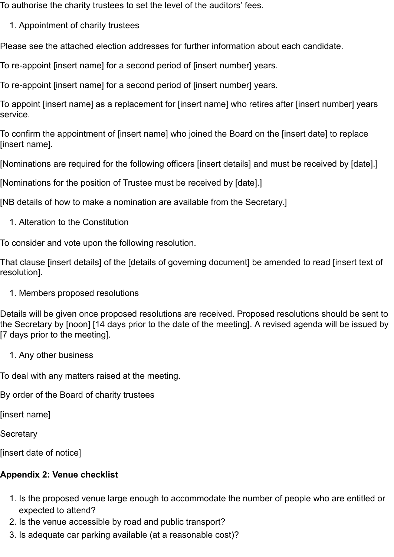To authorise the charity trustees to set the level of the auditors' fees.

1. Appointment of charity trustees

Please see the attached election addresses for further information about each candidate.

To re-appoint [insert name] for a second period of [insert number] years.

To re-appoint [insert name] for a second period of [insert number] years.

To appoint [insert name] as a replacement for [insert name] who retires after [insert number] years service.

To confirm the appointment of [insert name] who joined the Board on the [insert date] to replace [insert name].

[Nominations are required for the following officers [insert details] and must be received by [date].]

[Nominations for the position of Trustee must be received by [date].]

[NB details of how to make a nomination are available from the Secretary.]

1. Alteration to the Constitution

To consider and vote upon the following resolution.

That clause [insert details] of the [details of governing document] be amended to read [insert text of resolution].

1. Members proposed resolutions

Details will be given once proposed resolutions are received. Proposed resolutions should be sent to the Secretary by [noon] [14 days prior to the date of the meeting]. A revised agenda will be issued by [7 days prior to the meeting].

1. Any other business

To deal with any matters raised at the meeting.

By order of the Board of charity trustees

[insert name]

**Secretary** 

<span id="page-19-0"></span>[insert date of notice]

## **Appendix 2: Venue checklist**

- 1. Is the proposed venue large enough to accommodate the number of people who are entitled or expected to attend?
- 2. Is the venue accessible by road and public transport?
- 3. Is adequate car parking available (at a reasonable cost)?